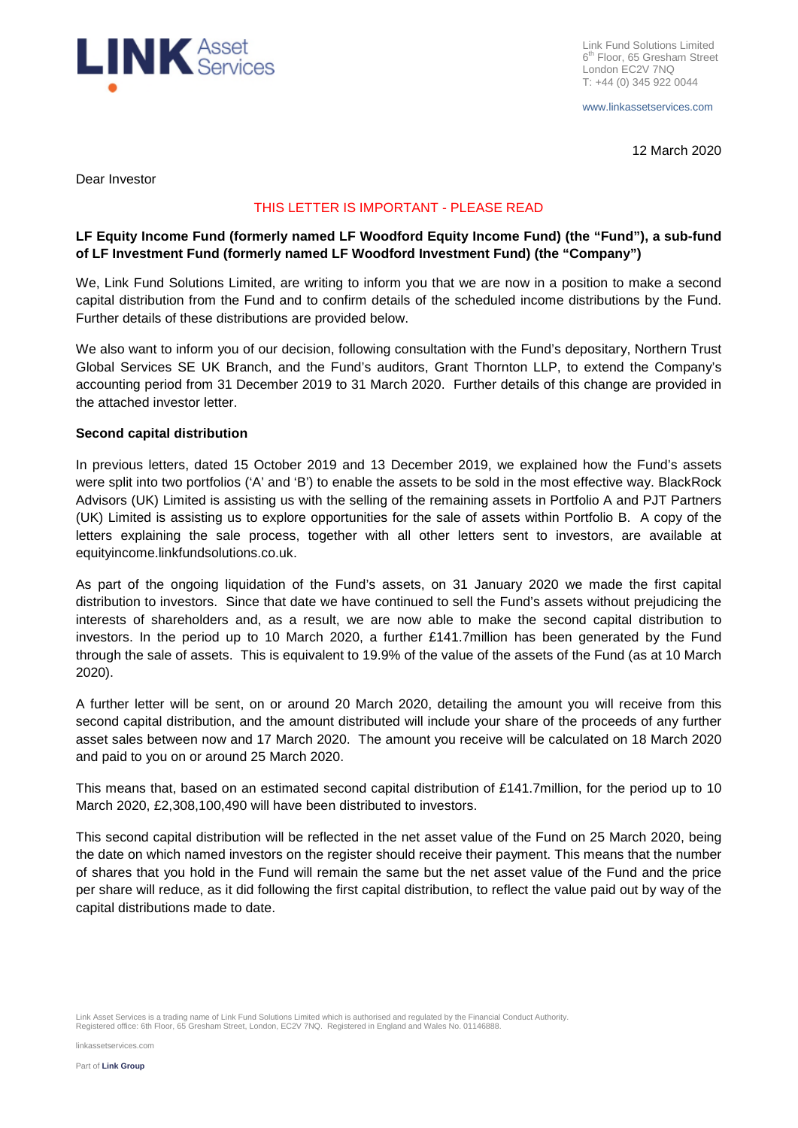

Link Fund Solutions Limited 6<sup>th</sup> Floor, 65 Gresham Street London EC2V 7NQ T: +44 (0) 345 922 0044

www.linkassetservices.com

12 March 2020

Dear Investor

### THIS LETTER IS IMPORTANT - PLEASE READ

## **LF Equity Income Fund (formerly named LF Woodford Equity Income Fund) (the "Fund"), a sub-fund of LF Investment Fund (formerly named LF Woodford Investment Fund) (the "Company")**

We, Link Fund Solutions Limited, are writing to inform you that we are now in a position to make a second capital distribution from the Fund and to confirm details of the scheduled income distributions by the Fund. Further details of these distributions are provided below.

We also want to inform you of our decision, following consultation with the Fund's depositary, Northern Trust Global Services SE UK Branch, and the Fund's auditors, Grant Thornton LLP, to extend the Company's accounting period from 31 December 2019 to 31 March 2020. Further details of this change are provided in the attached investor letter.

### **Second capital distribution**

In previous letters, dated 15 October 2019 and 13 December 2019, we explained how the Fund's assets were split into two portfolios ('A' and 'B') to enable the assets to be sold in the most effective way. BlackRock Advisors (UK) Limited is assisting us with the selling of the remaining assets in Portfolio A and PJT Partners (UK) Limited is assisting us to explore opportunities for the sale of assets within Portfolio B. A copy of the letters explaining the sale process, together with all other letters sent to investors, are available at equityincome.linkfundsolutions.co.uk.

As part of the ongoing liquidation of the Fund's assets, on 31 January 2020 we made the first capital distribution to investors. Since that date we have continued to sell the Fund's assets without prejudicing the interests of shareholders and, as a result, we are now able to make the second capital distribution to investors. In the period up to 10 March 2020, a further £141.7million has been generated by the Fund through the sale of assets. This is equivalent to 19.9% of the value of the assets of the Fund (as at 10 March 2020).

A further letter will be sent, on or around 20 March 2020, detailing the amount you will receive from this second capital distribution, and the amount distributed will include your share of the proceeds of any further asset sales between now and 17 March 2020. The amount you receive will be calculated on 18 March 2020 and paid to you on or around 25 March 2020.

This means that, based on an estimated second capital distribution of £141.7million, for the period up to 10 March 2020, £2,308,100,490 will have been distributed to investors.

This second capital distribution will be reflected in the net asset value of the Fund on 25 March 2020, being the date on which named investors on the register should receive their payment. This means that the number of shares that you hold in the Fund will remain the same but the net asset value of the Fund and the price per share will reduce, as it did following the first capital distribution, to reflect the value paid out by way of the capital distributions made to date.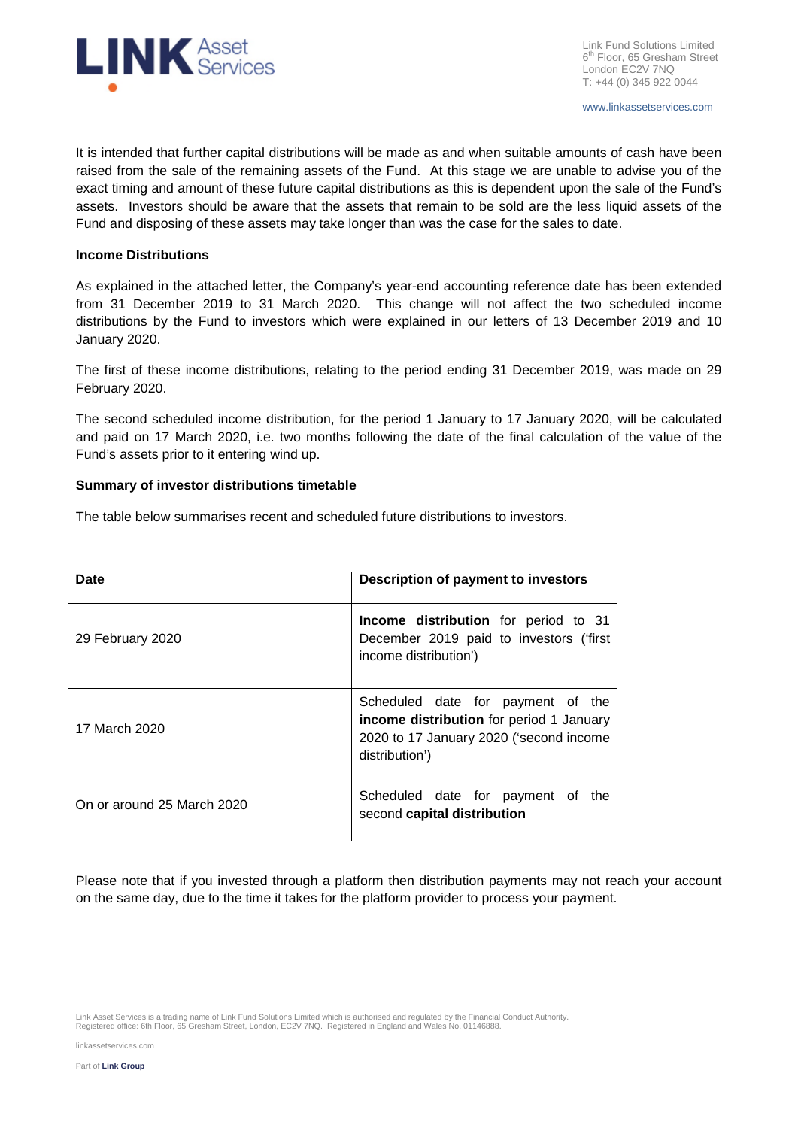

It is intended that further capital distributions will be made as and when suitable amounts of cash have been raised from the sale of the remaining assets of the Fund. At this stage we are unable to advise you of the exact timing and amount of these future capital distributions as this is dependent upon the sale of the Fund's assets. Investors should be aware that the assets that remain to be sold are the less liquid assets of the Fund and disposing of these assets may take longer than was the case for the sales to date.

#### **Income Distributions**

As explained in the attached letter, the Company's year-end accounting reference date has been extended from 31 December 2019 to 31 March 2020. This change will not affect the two scheduled income distributions by the Fund to investors which were explained in our letters of 13 December 2019 and 10 January 2020.

The first of these income distributions, relating to the period ending 31 December 2019, was made on 29 February 2020.

The second scheduled income distribution, for the period 1 January to 17 January 2020, will be calculated and paid on 17 March 2020, i.e. two months following the date of the final calculation of the value of the Fund's assets prior to it entering wind up.

#### **Summary of investor distributions timetable**

The table below summarises recent and scheduled future distributions to investors.

| Date                       | Description of payment to investors                                                                                                        |
|----------------------------|--------------------------------------------------------------------------------------------------------------------------------------------|
| 29 February 2020           | Income distribution for period to 31<br>December 2019 paid to investors ('first<br>income distribution')                                   |
| 17 March 2020              | Scheduled date for payment of the<br>income distribution for period 1 January<br>2020 to 17 January 2020 ('second income<br>distribution') |
| On or around 25 March 2020 | Scheduled date for payment of<br>the<br>second capital distribution                                                                        |

Please note that if you invested through a platform then distribution payments may not reach your account on the same day, due to the time it takes for the platform provider to process your payment.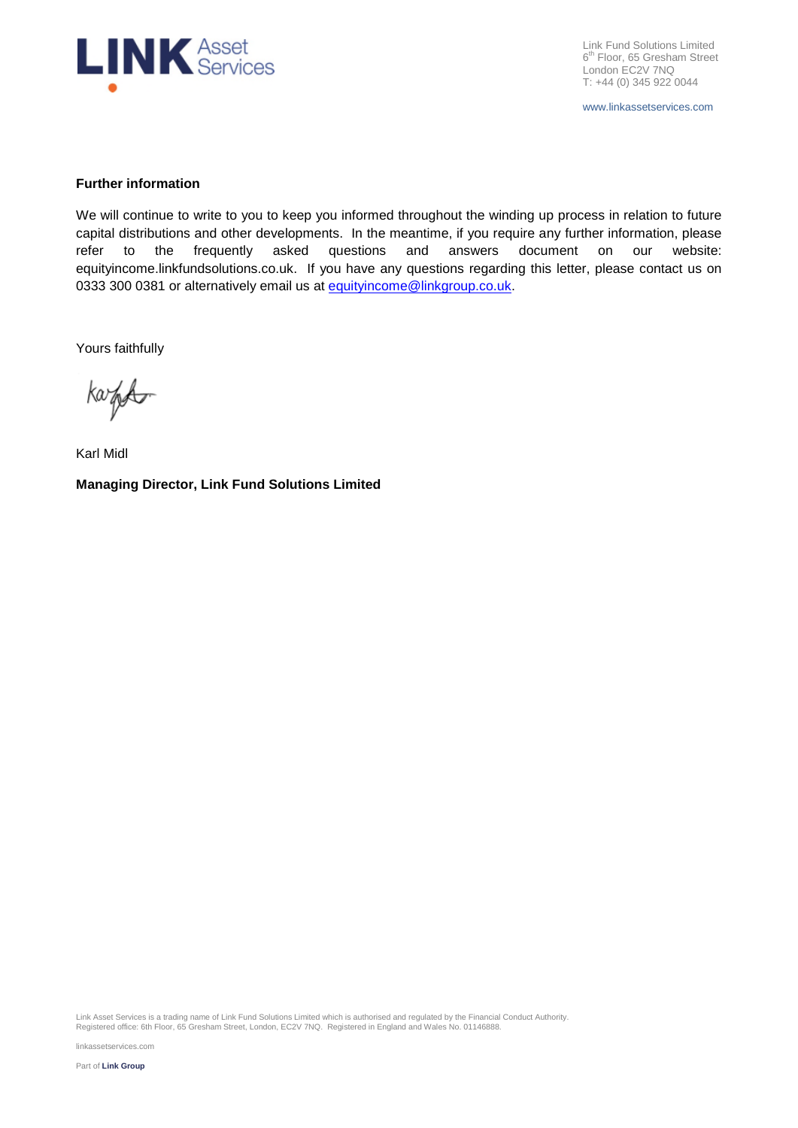

Link Fund Solutions Limited 6<sup>th</sup> Floor, 65 Gresham Street London EC2V 7NQ T: +44 (0) 345 922 0044

www.linkassetservices.com

#### **Further information**

We will continue to write to you to keep you informed throughout the winding up process in relation to future capital distributions and other developments. In the meantime, if you require any further information, please refer to the frequently asked questions and answers document on our website: equityincome.linkfundsolutions.co.uk. If you have any questions regarding this letter, please contact us on 0333 300 0381 or alternatively email us at equityincome@linkgroup.co.uk.

Yours faithfully

kazed

Karl Midl **Managing Director, Link Fund Solutions Limited**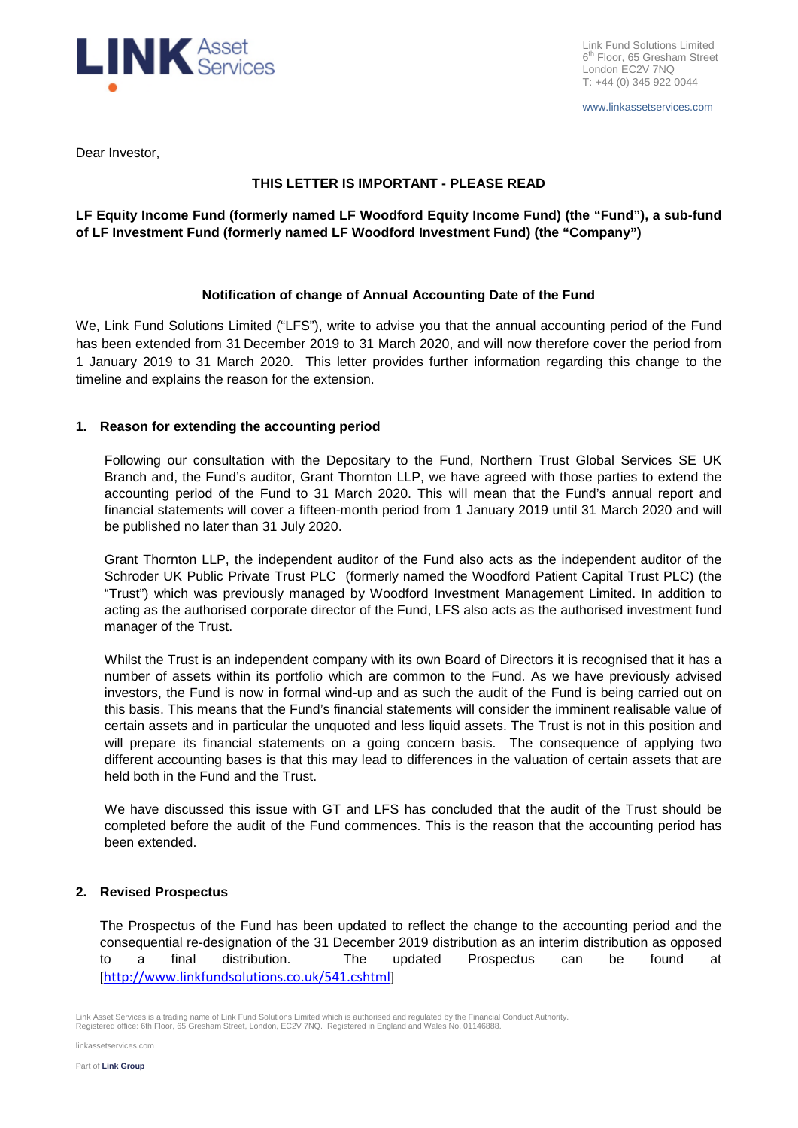

www.linkassetservices.com

Dear Investor,

## **THIS LETTER IS IMPORTANT - PLEASE READ**

## **LF Equity Income Fund (formerly named LF Woodford Equity Income Fund) (the "Fund"), a sub-fund of LF Investment Fund (formerly named LF Woodford Investment Fund) (the "Company")**

## **Notification of change of Annual Accounting Date of the Fund**

We, Link Fund Solutions Limited ("LFS"), write to advise you that the annual accounting period of the Fund has been extended from 31 December 2019 to 31 March 2020, and will now therefore cover the period from 1 January 2019 to 31 March 2020. This letter provides further information regarding this change to the timeline and explains the reason for the extension.

## **1. Reason for extending the accounting period**

Following our consultation with the Depositary to the Fund, Northern Trust Global Services SE UK Branch and, the Fund's auditor, Grant Thornton LLP, we have agreed with those parties to extend the accounting period of the Fund to 31 March 2020. This will mean that the Fund's annual report and financial statements will cover a fifteen-month period from 1 January 2019 until 31 March 2020 and will be published no later than 31 July 2020.

Grant Thornton LLP, the independent auditor of the Fund also acts as the independent auditor of the Schroder UK Public Private Trust PLC (formerly named the Woodford Patient Capital Trust PLC) (the "Trust") which was previously managed by Woodford Investment Management Limited. In addition to acting as the authorised corporate director of the Fund, LFS also acts as the authorised investment fund manager of the Trust.

Whilst the Trust is an independent company with its own Board of Directors it is recognised that it has a number of assets within its portfolio which are common to the Fund. As we have previously advised investors, the Fund is now in formal wind-up and as such the audit of the Fund is being carried out on this basis. This means that the Fund's financial statements will consider the imminent realisable value of certain assets and in particular the unquoted and less liquid assets. The Trust is not in this position and will prepare its financial statements on a going concern basis. The consequence of applying two different accounting bases is that this may lead to differences in the valuation of certain assets that are held both in the Fund and the Trust.

We have discussed this issue with GT and LFS has concluded that the audit of the Trust should be completed before the audit of the Fund commences. This is the reason that the accounting period has been extended.

## **2. Revised Prospectus**

The Prospectus of the Fund has been updated to reflect the change to the accounting period and the consequential re-designation of the 31 December 2019 distribution as an interim distribution as opposed to a final distribution. The updated Prospectus can be found at [http://www.linkfundsolutions.co.uk/541.cshtml]

Link Asset Services is a trading name of Link Fund Solutions Limited which is authorised and regulated by the Financial Conduct Authority.<br>Registered office: 6th Floor, 65 Gresham Street, London, EC2V 7NQ. Registered in En

linkassetservices.com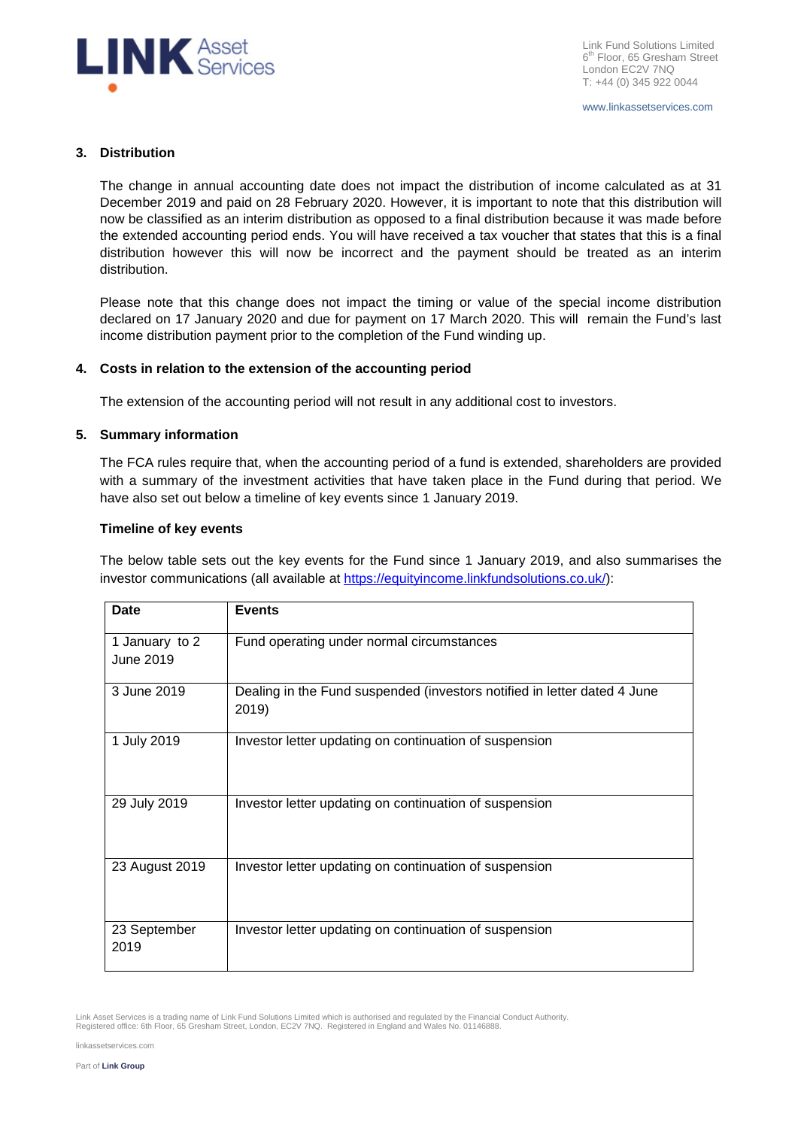

www.linkassetservices.com

### **3. Distribution**

The change in annual accounting date does not impact the distribution of income calculated as at 31 December 2019 and paid on 28 February 2020. However, it is important to note that this distribution will now be classified as an interim distribution as opposed to a final distribution because it was made before the extended accounting period ends. You will have received a tax voucher that states that this is a final distribution however this will now be incorrect and the payment should be treated as an interim distribution.

Please note that this change does not impact the timing or value of the special income distribution declared on 17 January 2020 and due for payment on 17 March 2020. This will remain the Fund's last income distribution payment prior to the completion of the Fund winding up.

### **4. Costs in relation to the extension of the accounting period**

The extension of the accounting period will not result in any additional cost to investors.

## **5. Summary information**

The FCA rules require that, when the accounting period of a fund is extended, shareholders are provided with a summary of the investment activities that have taken place in the Fund during that period. We have also set out below a timeline of key events since 1 January 2019.

### **Timeline of key events**

The below table sets out the key events for the Fund since 1 January 2019, and also summarises the investor communications (all available at https://equityincome.linkfundsolutions.co.uk/):

| <b>Date</b>                 | <b>Events</b>                                                                     |
|-----------------------------|-----------------------------------------------------------------------------------|
| 1 January to 2<br>June 2019 | Fund operating under normal circumstances                                         |
| 3 June 2019                 | Dealing in the Fund suspended (investors notified in letter dated 4 June<br>2019) |
| 1 July 2019                 | Investor letter updating on continuation of suspension                            |
| 29 July 2019                | Investor letter updating on continuation of suspension                            |
| 23 August 2019              | Investor letter updating on continuation of suspension                            |
| 23 September<br>2019        | Investor letter updating on continuation of suspension                            |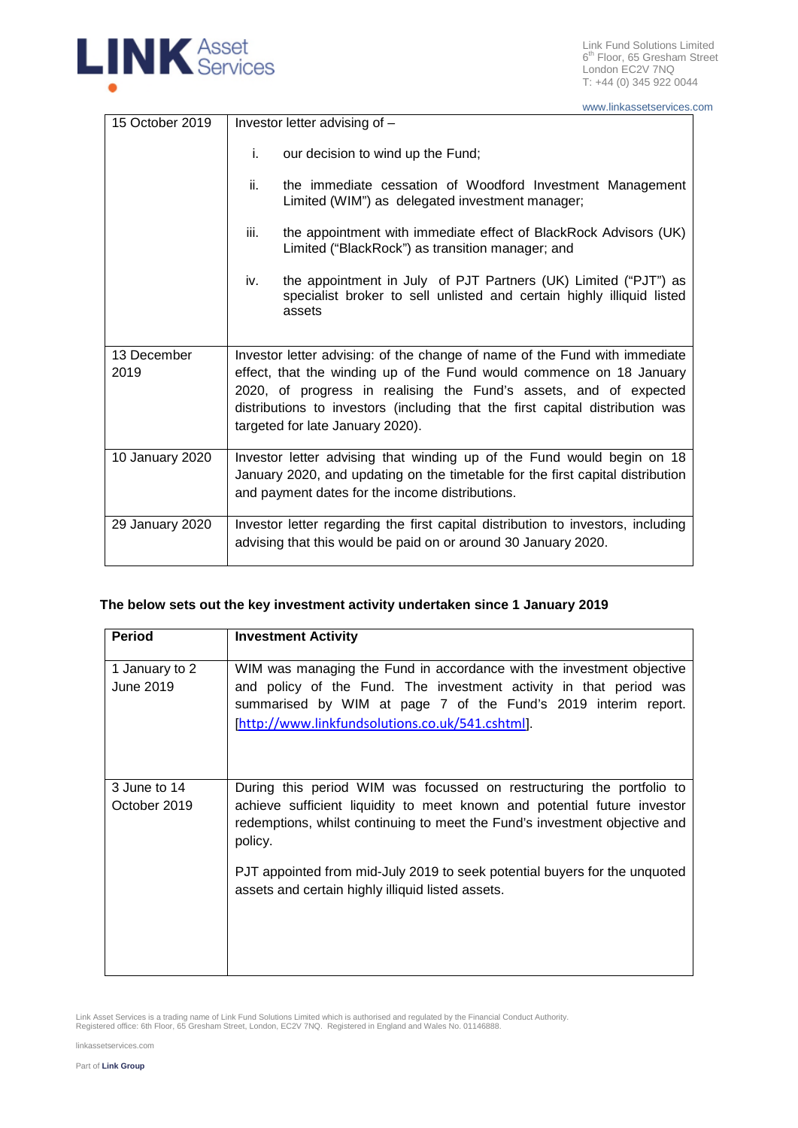

Link Fund Solutions Limited 6<sup>th</sup> Floor, 65 Gresham Street London EC2V 7NQ T: +44 (0) 345 922 0044

www.linkassetservices.com

| 15 October 2019 | Investor letter advising of -                                                                                                                             |  |
|-----------------|-----------------------------------------------------------------------------------------------------------------------------------------------------------|--|
|                 | i.<br>our decision to wind up the Fund;                                                                                                                   |  |
|                 | the immediate cessation of Woodford Investment Management<br>ii.<br>Limited (WIM") as delegated investment manager;                                       |  |
|                 | the appointment with immediate effect of BlackRock Advisors (UK)<br>iii.<br>Limited ("BlackRock") as transition manager; and                              |  |
|                 | the appointment in July of PJT Partners (UK) Limited ("PJT") as<br>iv.<br>specialist broker to sell unlisted and certain highly illiquid listed<br>assets |  |
| 13 December     | Investor letter advising: of the change of name of the Fund with immediate                                                                                |  |
| 2019            | effect, that the winding up of the Fund would commence on 18 January                                                                                      |  |
|                 | 2020, of progress in realising the Fund's assets, and of expected                                                                                         |  |
|                 | distributions to investors (including that the first capital distribution was<br>targeted for late January 2020).                                         |  |
| 10 January 2020 | Investor letter advising that winding up of the Fund would begin on 18                                                                                    |  |
|                 | January 2020, and updating on the timetable for the first capital distribution<br>and payment dates for the income distributions.                         |  |
| 29 January 2020 | Investor letter regarding the first capital distribution to investors, including                                                                          |  |
|                 | advising that this would be paid on or around 30 January 2020.                                                                                            |  |

# **The below sets out the key investment activity undertaken since 1 January 2019**

| <b>Period</b>                | <b>Investment Activity</b>                                                                                                                                                                                                                                        |
|------------------------------|-------------------------------------------------------------------------------------------------------------------------------------------------------------------------------------------------------------------------------------------------------------------|
| 1 January to 2<br>June 2019  | WIM was managing the Fund in accordance with the investment objective<br>and policy of the Fund. The investment activity in that period was<br>summarised by WIM at page 7 of the Fund's 2019 interim report.<br>[http://www.linkfundsolutions.co.uk/541.cshtml]. |
| 3 June to 14<br>October 2019 | During this period WIM was focussed on restructuring the portfolio to<br>achieve sufficient liquidity to meet known and potential future investor<br>redemptions, whilst continuing to meet the Fund's investment objective and<br>policy.                        |
|                              | PJT appointed from mid-July 2019 to seek potential buyers for the unquoted<br>assets and certain highly illiquid listed assets.                                                                                                                                   |